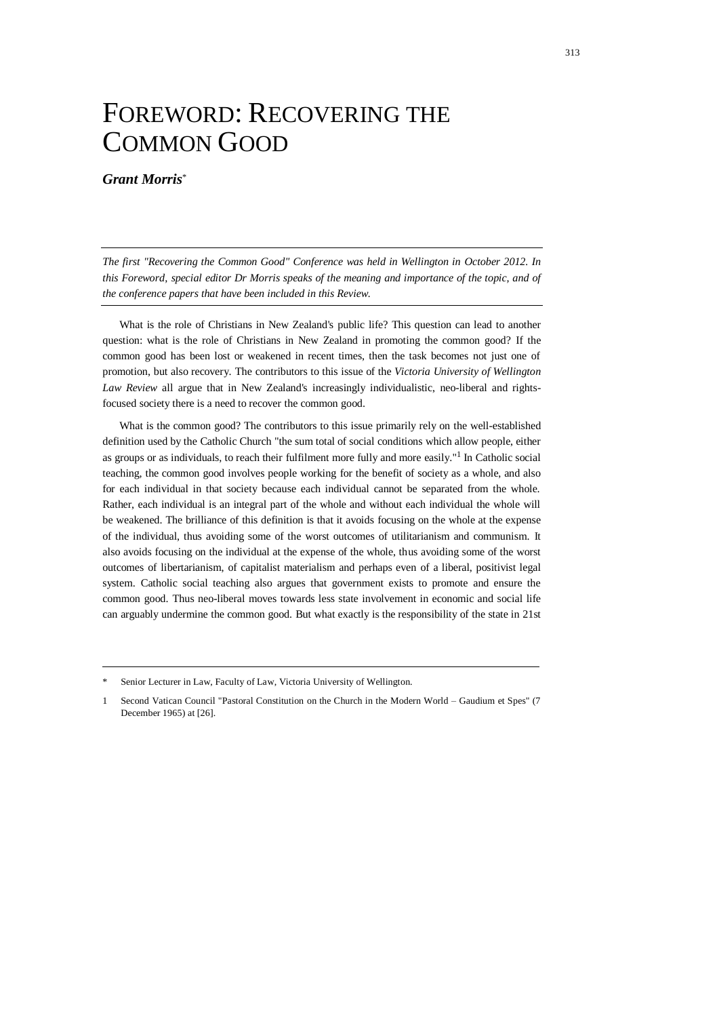## FOREWORD: RECOVERING THE COMMON GOOD

## *Grant Morris*\*

*The first "Recovering the Common Good" Conference was held in Wellington in October 2012. In this Foreword, special editor Dr Morris speaks of the meaning and importance of the topic, and of the conference papers that have been included in this Review.* 

What is the role of Christians in New Zealand's public life? This question can lead to another question: what is the role of Christians in New Zealand in promoting the common good? If the common good has been lost or weakened in recent times, then the task becomes not just one of promotion, but also recovery. The contributors to this issue of the *Victoria University of Wellington Law Review* all argue that in New Zealand's increasingly individualistic, neo-liberal and rightsfocused society there is a need to recover the common good.

What is the common good? The contributors to this issue primarily rely on the well-established definition used by the Catholic Church "the sum total of social conditions which allow people, either as groups or as individuals, to reach their fulfilment more fully and more easily."<sup>1</sup> In Catholic social teaching, the common good involves people working for the benefit of society as a whole, and also for each individual in that society because each individual cannot be separated from the whole. Rather, each individual is an integral part of the whole and without each individual the whole will be weakened. The brilliance of this definition is that it avoids focusing on the whole at the expense of the individual, thus avoiding some of the worst outcomes of utilitarianism and communism. It also avoids focusing on the individual at the expense of the whole, thus avoiding some of the worst outcomes of libertarianism, of capitalist materialism and perhaps even of a liberal, positivist legal system. Catholic social teaching also argues that government exists to promote and ensure the common good. Thus neo-liberal moves towards less state involvement in economic and social life can arguably undermine the common good. But what exactly is the responsibility of the state in 21st

Senior Lecturer in Law, Faculty of Law, Victoria University of Wellington.

<sup>1</sup> Second Vatican Council "Pastoral Constitution on the Church in the Modern World – Gaudium et Spes" (7 December 1965) at [26].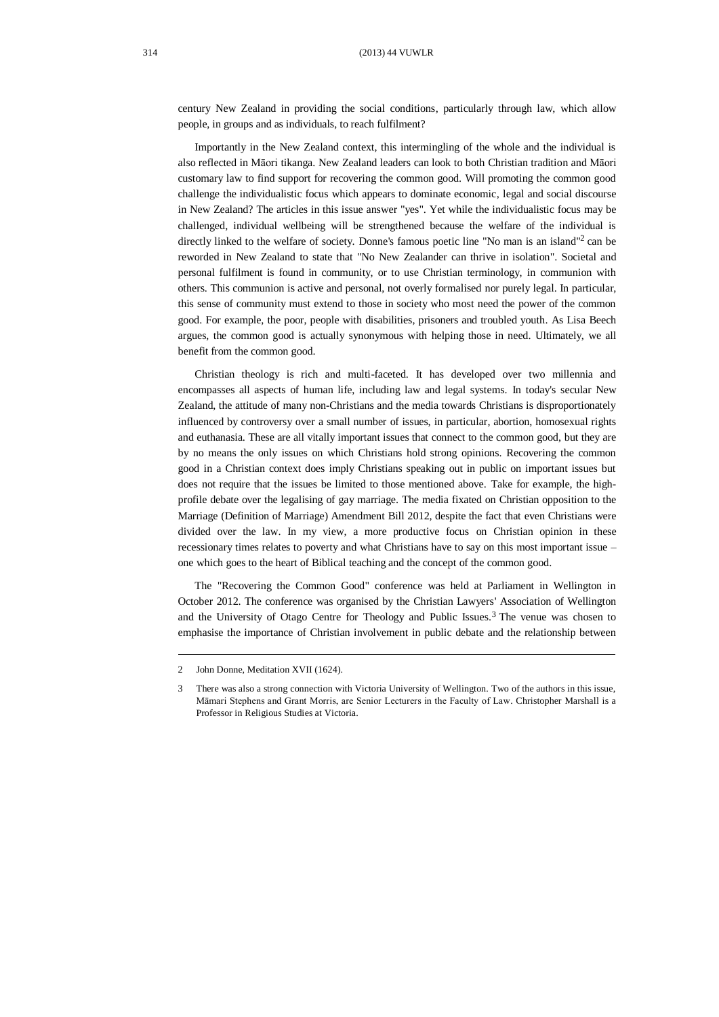century New Zealand in providing the social conditions, particularly through law, which allow people, in groups and as individuals, to reach fulfilment?

Importantly in the New Zealand context, this intermingling of the whole and the individual is also reflected in Māori tikanga. New Zealand leaders can look to both Christian tradition and Māori customary law to find support for recovering the common good. Will promoting the common good challenge the individualistic focus which appears to dominate economic, legal and social discourse in New Zealand? The articles in this issue answer "yes". Yet while the individualistic focus may be challenged, individual wellbeing will be strengthened because the welfare of the individual is directly linked to the welfare of society. Donne's famous poetic line "No man is an island"<sup>2</sup> can be reworded in New Zealand to state that "No New Zealander can thrive in isolation". Societal and personal fulfilment is found in community, or to use Christian terminology, in communion with others. This communion is active and personal, not overly formalised nor purely legal. In particular, this sense of community must extend to those in society who most need the power of the common good. For example, the poor, people with disabilities, prisoners and troubled youth. As Lisa Beech argues, the common good is actually synonymous with helping those in need. Ultimately, we all benefit from the common good.

Christian theology is rich and multi-faceted. It has developed over two millennia and encompasses all aspects of human life, including law and legal systems. In today's secular New Zealand, the attitude of many non-Christians and the media towards Christians is disproportionately influenced by controversy over a small number of issues, in particular, abortion, homosexual rights and euthanasia. These are all vitally important issues that connect to the common good, but they are by no means the only issues on which Christians hold strong opinions. Recovering the common good in a Christian context does imply Christians speaking out in public on important issues but does not require that the issues be limited to those mentioned above. Take for example, the highprofile debate over the legalising of gay marriage. The media fixated on Christian opposition to the Marriage (Definition of Marriage) Amendment Bill 2012, despite the fact that even Christians were divided over the law. In my view, a more productive focus on Christian opinion in these recessionary times relates to poverty and what Christians have to say on this most important issue – one which goes to the heart of Biblical teaching and the concept of the common good.

The "Recovering the Common Good" conference was held at Parliament in Wellington in October 2012. The conference was organised by the Christian Lawyers' Association of Wellington and the University of Otago Centre for Theology and Public Issues.<sup>3</sup> The venue was chosen to emphasise the importance of Christian involvement in public debate and the relationship between

<sup>2</sup> John Donne, Meditation XVII (1624).

<sup>3</sup> There was also a strong connection with Victoria University of Wellington. Two of the authors in this issue, Māmari Stephens and Grant Morris, are Senior Lecturers in the Faculty of Law. Christopher Marshall is a Professor in Religious Studies at Victoria.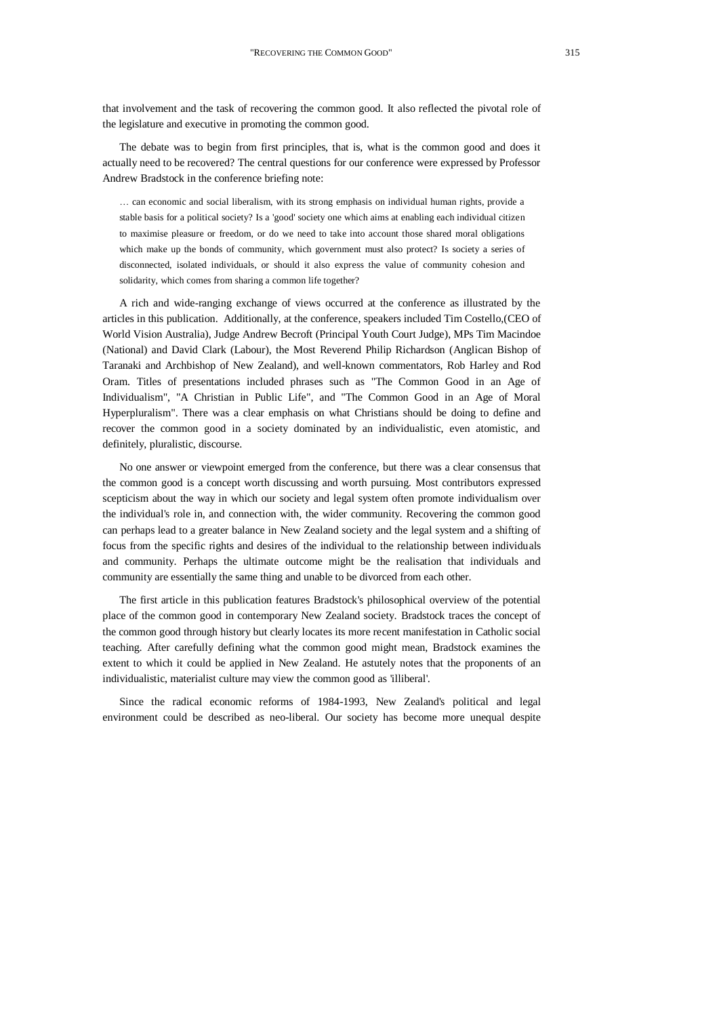that involvement and the task of recovering the common good. It also reflected the pivotal role of the legislature and executive in promoting the common good.

The debate was to begin from first principles, that is, what is the common good and does it actually need to be recovered? The central questions for our conference were expressed by Professor Andrew Bradstock in the conference briefing note:

… can economic and social liberalism, with its strong emphasis on individual human rights, provide a stable basis for a political society? Is a 'good' society one which aims at enabling each individual citizen to maximise pleasure or freedom, or do we need to take into account those shared moral obligations which make up the bonds of community, which government must also protect? Is society a series of disconnected, isolated individuals, or should it also express the value of community cohesion and solidarity, which comes from sharing a common life together?

A rich and wide-ranging exchange of views occurred at the conference as illustrated by the articles in this publication. Additionally, at the conference, speakers included Tim Costello,(CEO of World Vision Australia), Judge Andrew Becroft (Principal Youth Court Judge), MPs Tim Macindoe (National) and David Clark (Labour), the Most Reverend Philip Richardson (Anglican Bishop of Taranaki and Archbishop of New Zealand), and well-known commentators, Rob Harley and Rod Oram. Titles of presentations included phrases such as "The Common Good in an Age of Individualism", "A Christian in Public Life", and "The Common Good in an Age of Moral Hyperpluralism". There was a clear emphasis on what Christians should be doing to define and recover the common good in a society dominated by an individualistic, even atomistic, and definitely, pluralistic, discourse.

No one answer or viewpoint emerged from the conference, but there was a clear consensus that the common good is a concept worth discussing and worth pursuing. Most contributors expressed scepticism about the way in which our society and legal system often promote individualism over the individual's role in, and connection with, the wider community. Recovering the common good can perhaps lead to a greater balance in New Zealand society and the legal system and a shifting of focus from the specific rights and desires of the individual to the relationship between individuals and community. Perhaps the ultimate outcome might be the realisation that individuals and community are essentially the same thing and unable to be divorced from each other.

The first article in this publication features Bradstock's philosophical overview of the potential place of the common good in contemporary New Zealand society. Bradstock traces the concept of the common good through history but clearly locates its more recent manifestation in Catholic social teaching. After carefully defining what the common good might mean, Bradstock examines the extent to which it could be applied in New Zealand. He astutely notes that the proponents of an individualistic, materialist culture may view the common good as 'illiberal'.

Since the radical economic reforms of 1984-1993, New Zealand's political and legal environment could be described as neo-liberal. Our society has become more unequal despite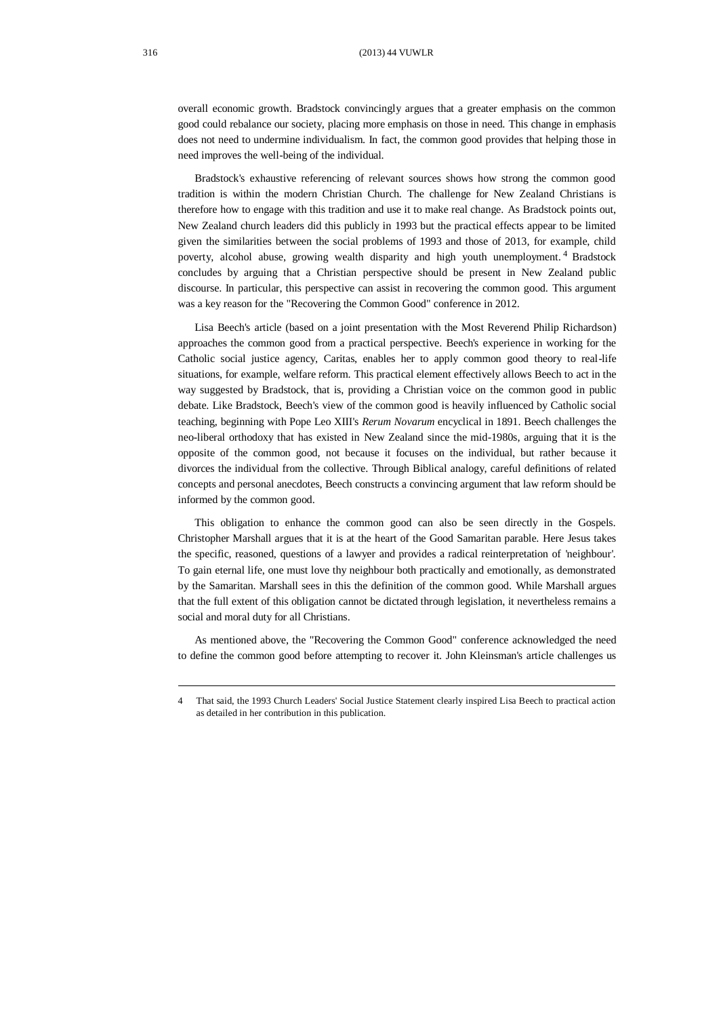overall economic growth. Bradstock convincingly argues that a greater emphasis on the common good could rebalance our society, placing more emphasis on those in need. This change in emphasis does not need to undermine individualism. In fact, the common good provides that helping those in need improves the well-being of the individual.

Bradstock's exhaustive referencing of relevant sources shows how strong the common good tradition is within the modern Christian Church. The challenge for New Zealand Christians is therefore how to engage with this tradition and use it to make real change. As Bradstock points out, New Zealand church leaders did this publicly in 1993 but the practical effects appear to be limited given the similarities between the social problems of 1993 and those of 2013, for example, child poverty, alcohol abuse, growing wealth disparity and high youth unemployment. <sup>4</sup> Bradstock concludes by arguing that a Christian perspective should be present in New Zealand public discourse. In particular, this perspective can assist in recovering the common good. This argument was a key reason for the "Recovering the Common Good" conference in 2012.

Lisa Beech's article (based on a joint presentation with the Most Reverend Philip Richardson) approaches the common good from a practical perspective. Beech's experience in working for the Catholic social justice agency, Caritas, enables her to apply common good theory to real-life situations, for example, welfare reform. This practical element effectively allows Beech to act in the way suggested by Bradstock, that is, providing a Christian voice on the common good in public debate. Like Bradstock, Beech's view of the common good is heavily influenced by Catholic social teaching, beginning with Pope Leo XIII's *Rerum Novarum* encyclical in 1891. Beech challenges the neo-liberal orthodoxy that has existed in New Zealand since the mid-1980s, arguing that it is the opposite of the common good, not because it focuses on the individual, but rather because it divorces the individual from the collective. Through Biblical analogy, careful definitions of related concepts and personal anecdotes, Beech constructs a convincing argument that law reform should be informed by the common good.

This obligation to enhance the common good can also be seen directly in the Gospels. Christopher Marshall argues that it is at the heart of the Good Samaritan parable. Here Jesus takes the specific, reasoned, questions of a lawyer and provides a radical reinterpretation of 'neighbour'. To gain eternal life, one must love thy neighbour both practically and emotionally, as demonstrated by the Samaritan. Marshall sees in this the definition of the common good. While Marshall argues that the full extent of this obligation cannot be dictated through legislation, it nevertheless remains a social and moral duty for all Christians.

As mentioned above, the "Recovering the Common Good" conference acknowledged the need to define the common good before attempting to recover it. John Kleinsman's article challenges us

<sup>4</sup> That said, the 1993 Church Leaders' Social Justice Statement clearly inspired Lisa Beech to practical action as detailed in her contribution in this publication.